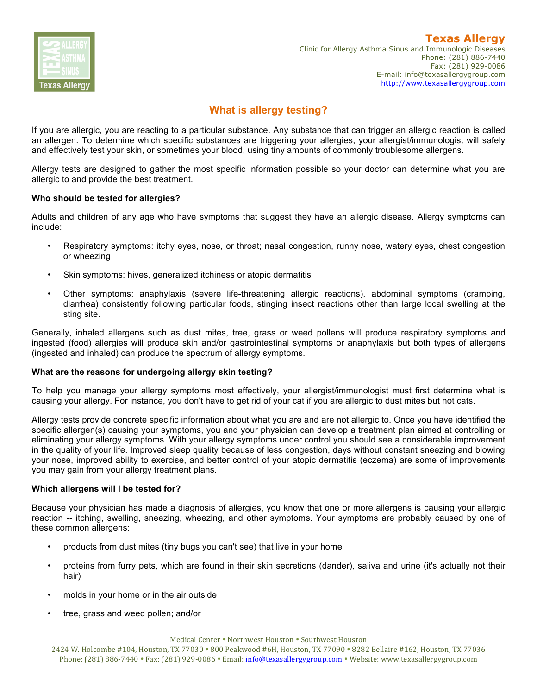

#### **Texas Allergy** Clinic for Allergy Asthma Sinus and Immunologic Diseases Phone: (281) 886-7440 Fax: (281) 929-0086 E-mail: info@texasallergygroup.com http://www.texasallergygroup.com

# **What is allergy testing?**

If you are allergic, you are reacting to a particular substance. Any substance that can trigger an allergic reaction is called an allergen. To determine which specific substances are triggering your allergies, your allergist/immunologist will safely and effectively test your skin, or sometimes your blood, using tiny amounts of commonly troublesome allergens.

Allergy tests are designed to gather the most specific information possible so your doctor can determine what you are allergic to and provide the best treatment.

# **Who should be tested for allergies?**

Adults and children of any age who have symptoms that suggest they have an allergic disease. Allergy symptoms can include:

- Respiratory symptoms: itchy eyes, nose, or throat; nasal congestion, runny nose, watery eyes, chest congestion or wheezing
- Skin symptoms: hives, generalized itchiness or atopic dermatitis
- Other symptoms: anaphylaxis (severe life-threatening allergic reactions), abdominal symptoms (cramping, diarrhea) consistently following particular foods, stinging insect reactions other than large local swelling at the sting site.

Generally, inhaled allergens such as dust mites, tree, grass or weed pollens will produce respiratory symptoms and ingested (food) allergies will produce skin and/or gastrointestinal symptoms or anaphylaxis but both types of allergens (ingested and inhaled) can produce the spectrum of allergy symptoms.

#### **What are the reasons for undergoing allergy skin testing?**

To help you manage your allergy symptoms most effectively, your allergist/immunologist must first determine what is causing your allergy. For instance, you don't have to get rid of your cat if you are allergic to dust mites but not cats.

Allergy tests provide concrete specific information about what you are and are not allergic to. Once you have identified the specific allergen(s) causing your symptoms, you and your physician can develop a treatment plan aimed at controlling or eliminating your allergy symptoms. With your allergy symptoms under control you should see a considerable improvement in the quality of your life. Improved sleep quality because of less congestion, days without constant sneezing and blowing your nose, improved ability to exercise, and better control of your atopic dermatitis (eczema) are some of improvements you may gain from your allergy treatment plans.

#### **Which allergens will I be tested for?**

Because your physician has made a diagnosis of allergies, you know that one or more allergens is causing your allergic reaction -- itching, swelling, sneezing, wheezing, and other symptoms. Your symptoms are probably caused by one of these common allergens:

- products from dust mites (tiny bugs you can't see) that live in your home
- proteins from furry pets, which are found in their skin secretions (dander), saliva and urine (it's actually not their hair)
- molds in your home or in the air outside
- tree, grass and weed pollen; and/or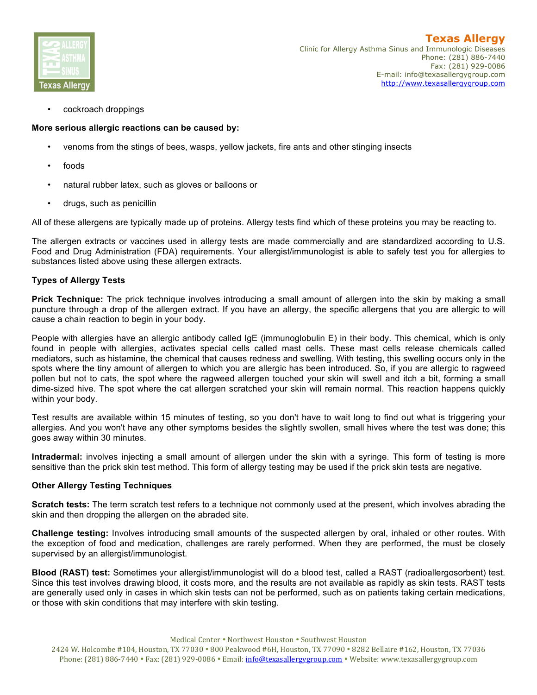

• cockroach droppings

# **More serious allergic reactions can be caused by:**

- venoms from the stings of bees, wasps, yellow jackets, fire ants and other stinging insects
- foods
- natural rubber latex, such as gloves or balloons or
- drugs, such as penicillin

All of these allergens are typically made up of proteins. Allergy tests find which of these proteins you may be reacting to.

The allergen extracts or vaccines used in allergy tests are made commercially and are standardized according to U.S. Food and Drug Administration (FDA) requirements. Your allergist/immunologist is able to safely test you for allergies to substances listed above using these allergen extracts.

# **Types of Allergy Tests**

**Prick Technique:** The prick technique involves introducing a small amount of allergen into the skin by making a small puncture through a drop of the allergen extract. If you have an allergy, the specific allergens that you are allergic to will cause a chain reaction to begin in your body.

People with allergies have an allergic antibody called IgE (immunoglobulin E) in their body. This chemical, which is only found in people with allergies, activates special cells called mast cells. These mast cells release chemicals called mediators, such as histamine, the chemical that causes redness and swelling. With testing, this swelling occurs only in the spots where the tiny amount of allergen to which you are allergic has been introduced. So, if you are allergic to ragweed pollen but not to cats, the spot where the ragweed allergen touched your skin will swell and itch a bit, forming a small dime-sized hive. The spot where the cat allergen scratched your skin will remain normal. This reaction happens quickly within your body.

Test results are available within 15 minutes of testing, so you don't have to wait long to find out what is triggering your allergies. And you won't have any other symptoms besides the slightly swollen, small hives where the test was done; this goes away within 30 minutes.

**Intradermal:** involves injecting a small amount of allergen under the skin with a syringe. This form of testing is more sensitive than the prick skin test method. This form of allergy testing may be used if the prick skin tests are negative.

#### **Other Allergy Testing Techniques**

**Scratch tests:** The term scratch test refers to a technique not commonly used at the present, which involves abrading the skin and then dropping the allergen on the abraded site.

**Challenge testing:** Involves introducing small amounts of the suspected allergen by oral, inhaled or other routes. With the exception of food and medication, challenges are rarely performed. When they are performed, the must be closely supervised by an allergist/immunologist.

**Blood (RAST) test:** Sometimes your allergist/immunologist will do a blood test, called a RAST (radioallergosorbent) test. Since this test involves drawing blood, it costs more, and the results are not available as rapidly as skin tests. RAST tests are generally used only in cases in which skin tests can not be performed, such as on patients taking certain medications, or those with skin conditions that may interfere with skin testing.

Medical Center • Northwest Houston • Southwest Houston